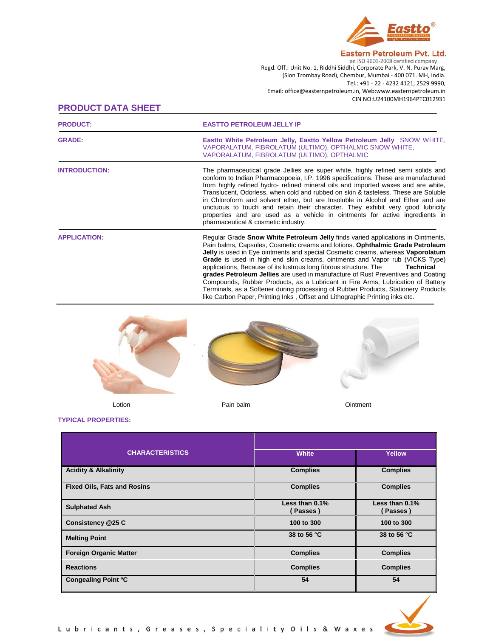

Eastern Petroleum Pvt. Ltd. an ISO 9001-2008 certified company Regd. Off.: Unit No. 1, Riddhi Siddhi, Corporate Park, V. N. Purav Marg, (Sion Trombay Road), Chembur, Mumbai - 400 071. MH, India. Tel.: +91 - 22 - 4232 4121, 2529 9990, Email: office@easternpetroleum.in, Web:www.easternpetroleum.in CIN NO:U24100MH1964PTC012931

# **PRODUCT DATA SHEET**

| <b>PRODUCT:</b>      | <b>EASTTO PETROLEUM JELLY IP</b>                                                                                                                                                                                                                                                                                                                                                                                                                                                                                                                                                                                                                                                                                                                                          |
|----------------------|---------------------------------------------------------------------------------------------------------------------------------------------------------------------------------------------------------------------------------------------------------------------------------------------------------------------------------------------------------------------------------------------------------------------------------------------------------------------------------------------------------------------------------------------------------------------------------------------------------------------------------------------------------------------------------------------------------------------------------------------------------------------------|
| <b>GRADE:</b>        | East to White Petroleum Jelly, East to Yellow Petroleum Jelly SNOW WHITE,<br>VAPORALATUM, FIBROLATUM (ULTIMO), OPTHALMIC SNOW WHITE,<br>VAPORALATUM, FIBROLATUM (ULTIMO), OPTHALMIC                                                                                                                                                                                                                                                                                                                                                                                                                                                                                                                                                                                       |
| <b>INTRODUCTION:</b> | The pharmaceutical grade Jellies are super white, highly refined semi solids and<br>conform to Indian Pharmacopoeia, I.P. 1996 specifications. These are manufactured<br>from highly refined hydro- refined mineral oils and imported waxes and are white.<br>Translucent, Odorless, when cold and rubbed on skin & tasteless. These are Soluble<br>in Chloroform and solvent ether, but are Insoluble in Alcohol and Ether and are<br>unctuous to touch and retain their character. They exhibit very good lubricity<br>properties and are used as a vehicle in ointments for active ingredients in<br>pharmaceutical & cosmetic industry.                                                                                                                               |
| <b>APPLICATION:</b>  | Regular Grade Snow White Petroleum Jelly finds varied applications in Ointments,<br>Pain balms, Capsules, Cosmetic creams and lotions. Ophthalmic Grade Petroleum<br>Jelly is used in Eye ointments and special Cosmetic creams, whereas Vaporolatum<br><b>Grade</b> is used in high end skin creams, ointments and Vapor rub (VICKS Type)<br>applications, Because of its lustrous long fibrous structure. The<br>Technical<br>grades Petroleum Jellies are used in manufacture of Rust Preventives and Coating<br>Compounds, Rubber Products, as a Lubricant in Fire Arms, Lubrication of Battery<br>Terminals, as a Softener during processing of Rubber Products, Stationery Products<br>like Carbon Paper, Printing Inks, Offset and Lithographic Printing inks etc. |



**TYPICAL PROPERTIES:**

| <b>CHARACTERISTICS</b>             | <b>White</b>              | Yellow                    |  |
|------------------------------------|---------------------------|---------------------------|--|
| <b>Acidity &amp; Alkalinity</b>    | <b>Complies</b>           | <b>Complies</b>           |  |
| <b>Fixed Oils, Fats and Rosins</b> | <b>Complies</b>           | <b>Complies</b>           |  |
| <b>Sulphated Ash</b>               | Less than 0.1%<br>Passes) | Less than 0.1%<br>Passes) |  |
| Consistency @25 C                  | 100 to 300                | 100 to 300                |  |
| <b>Melting Point</b>               | 38 to 56 °C               | 38 to 56 °C               |  |
| <b>Foreign Organic Matter</b>      | <b>Complies</b>           | <b>Complies</b>           |  |
| <b>Reactions</b>                   | <b>Complies</b>           | <b>Complies</b>           |  |
| Congealing Point °C                | 54                        | 54                        |  |